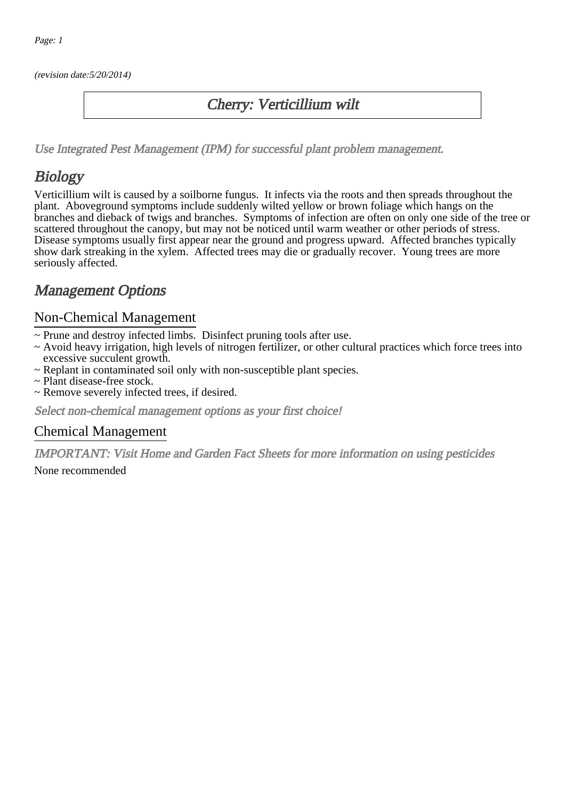(revision date:5/20/2014)

## Cherry: Verticillium wilt

[Use Integrated Pest Management \(IPM\) for successful plant problem management.](http://pep.wsu.edu/Home_Garden/H_G_Pesticide_info/urban_Integrated_Pest_Managmen/)

## **Biology**

Verticillium wilt is caused by a soilborne fungus. It infects via the roots and then spreads throughout the plant. Aboveground symptoms include suddenly wilted yellow or brown foliage which hangs on the branches and dieback of twigs and branches. Symptoms of infection are often on only one side of the tree or scattered throughout the canopy, but may not be noticed until warm weather or other periods of stress. Disease symptoms usually first appear near the ground and progress upward. Affected branches typically show dark streaking in the xylem. Affected trees may die or gradually recover. Young trees are more seriously affected.

## Management Options

### Non-Chemical Management

- ~ Prune and destroy infected limbs. Disinfect pruning tools after use.
- ~ Avoid heavy irrigation, high levels of nitrogen fertilizer, or other cultural practices which force trees into excessive succulent growth.
- ~ Replant in contaminated soil only with non-susceptible plant species.
- ~ Plant disease-free stock.
- ~ Remove severely infected trees, if desired.

Select non-chemical management options as your first choice!

#### Chemical Management

IMPORTANT: [Visit Home and Garden Fact Sheets for more information on using pesticides](http://pep.wsu.edu/Home_Garden/H_G_Pesticide_info/) None recommended